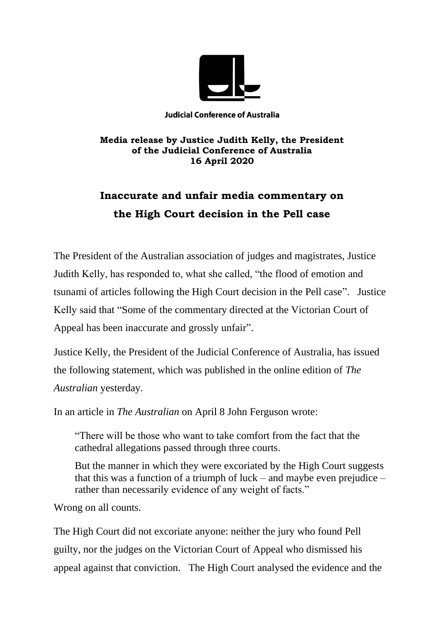

**Judicial Conference of Australia** 

## **Media release by Justice Judith Kelly, the President of the Judicial Conference of Australia 16 April 2020**

## **Inaccurate and unfair media commentary on the High Court decision in the Pell case**

The President of the Australian association of judges and magistrates, Justice Judith Kelly, has responded to, what she called, "the flood of emotion and tsunami of articles following the High Court decision in the Pell case". Justice Kelly said that "Some of the commentary directed at the Victorian Court of Appeal has been inaccurate and grossly unfair".

Justice Kelly, the President of the Judicial Conference of Australia, has issued the following statement, which was published in the online edition of *The Australian* yesterday.

In an article in *The Australian* on April 8 John Ferguson wrote:

"There will be those who want to take comfort from the fact that the cathedral allegations passed through three courts.

But the manner in which they were excoriated by the High Court suggests that this was a function of a triumph of luck – and maybe even prejudice – rather than necessarily evidence of any weight of facts."

Wrong on all counts.

The High Court did not excoriate anyone: neither the jury who found Pell guilty, nor the judges on the Victorian Court of Appeal who dismissed his appeal against that conviction. The High Court analysed the evidence and the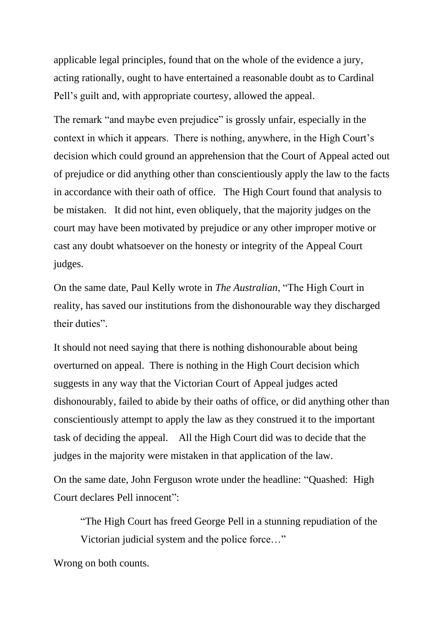applicable legal principles, found that on the whole of the evidence a jury, acting rationally, ought to have entertained a reasonable doubt as to Cardinal Pell's guilt and, with appropriate courtesy, allowed the appeal.

The remark "and maybe even prejudice" is grossly unfair, especially in the context in which it appears. There is nothing, anywhere, in the High Court's decision which could ground an apprehension that the Court of Appeal acted out of prejudice or did anything other than conscientiously apply the law to the facts in accordance with their oath of office. The High Court found that analysis to be mistaken. It did not hint, even obliquely, that the majority judges on the court may have been motivated by prejudice or any other improper motive or cast any doubt whatsoever on the honesty or integrity of the Appeal Court judges.

On the same date, Paul Kelly wrote in *The Australian*, "The High Court in reality, has saved our institutions from the dishonourable way they discharged their duties".

It should not need saying that there is nothing dishonourable about being overturned on appeal. There is nothing in the High Court decision which suggests in any way that the Victorian Court of Appeal judges acted dishonourably, failed to abide by their oaths of office, or did anything other than conscientiously attempt to apply the law as they construed it to the important task of deciding the appeal. All the High Court did was to decide that the judges in the majority were mistaken in that application of the law.

On the same date, John Ferguson wrote under the headline: "Quashed: High Court declares Pell innocent":

"The High Court has freed George Pell in a stunning repudiation of the Victorian judicial system and the police force…"

Wrong on both counts.